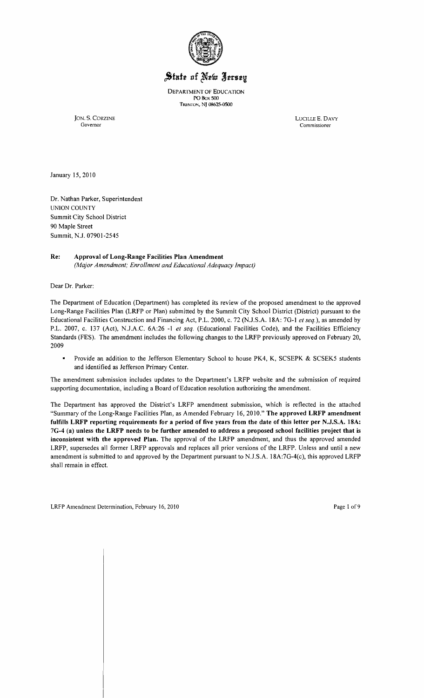

# State of New Jersey

DEPARTMENT OF EDUCATION PO Box 500 Trenton, NJ 08625-0500 .

JON. S. CORZINE LUCILLE E. DAVY Governor Commissioner

January 15,2010

Dr. Nathan Parker, Superintendent UNION COUNTY Summit City School District 90 Maple Street Summit, N.J. 07901-2545

# Re: Approval of Long-Range Facilities Plan Amendment

*(Major Amendment; Enrollment and Educational Adequacy Impact)* 

Dear Dr. Parker:

The Department of Education (Department) has completed its review of the proposed amendment to the approved Long-Range Facilities Plan (LRFP or Plan) submitted by the Summit City School District (District) pursuant to the Educational Facilities Construction and Financing Act, P.L. 2000, c. 72 (NJ.S.A. 18A: 70-1 *et seq.),* as amended by P.L. 2007, c. 137 (Act), NJ.A.C. 6A:26 -I *et seq.* (Educational Facilities Code), and the Facilities Efficiency Standards (FES). The amendment includes the following changes to the LRFP previously approved on February 20, 2009

 $\blacksquare$ Provide an addition to the Jefferson Elementary School to house PK4, K, SCSEPK & SCSEK5 students and identified as Jefferson Primary Center.

The amendment submission includes updates to the Department's LRFP website and the submission of required supporting documentation, including a Board of Education resolution authorizing the amendment.

The Department has approved the District's LRFP amendment submission, which is reflected in the attached "Summary of the Long-Range Facilities Plan, as Amended February 16,2010." The approved LRFP amendment fulfills LRFP reporting requirements for a period of five years from the date of this letter per N.J.S.A. 18A: 7G-4 (a) unless the LRFP needs to be further amended to address a proposed school facilities project that is inconsistent with the approved Plan. The approval of the LRFP amendment, and thus the approved amended LRFP, supersedes all former LRFP approvals and replaces all prior versions of the LRFP. Unless and until a new amendment is submitted to and approved by the Department pursuant to N.J.S.A. 18A:70-4(c), this approved LRFP shall remain in effect.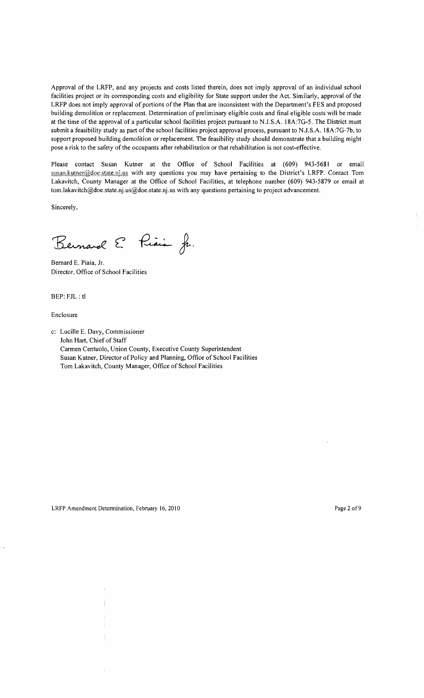Approval of the LRFP, and any projects and costs listed therein, does not imply approval of an individual school facilities project or its corresponding costs and eligibility for State support under the Act. Similarly, approval of the LRFP does not imply approval of portions of the Plan that are inconsistent with the Department's FES and proposed building demolition or replacement. Determination of preliminary eligible costs and final eligible costs will be made at the time of the approval of a particular school facilities project pursuant to NJ.S.A. 18A:7G-5. The District must submit a feasibility study as part of the school facilities project approval process, pursuant to NJ.S.A. 18A:7G-7b, to support proposed building demolition or replacement. The feasibility study should demonstrate that a building might pose a risk to the safety of the occupants after rehabilitation or that rehabilitation is not cost-effective.

Please contact Susan Kutner at the Office of School Facilities at (609) 943-5681 or email susan.kutner@doe.state.nj.us with any questions you may have pertaining to the District's LRFP. Contact Tom Lakavitch, County Manager at the Office of School Facilities, at telephone number (609) 943-5879 or email at tom.lakavitch@doe.state.nj.us@doe.state.nj.us with any questions pertaining to project advancement.

Sincerely,

Bernard E. Piais Jr.

Bernard E. Piaia, Jr. Director, Office of School Facilities

BEP: FJL: tl

Enclosure

c: Lucille E. Davy, Commissioner John Hart, Chief of Staff Carmen Centuolo, Union County, Executive County Superintendent Susan Kutner, Director of Policy and Planning, Office of School Facilities Tom Lakavitch, County Manager, Office of School Facilities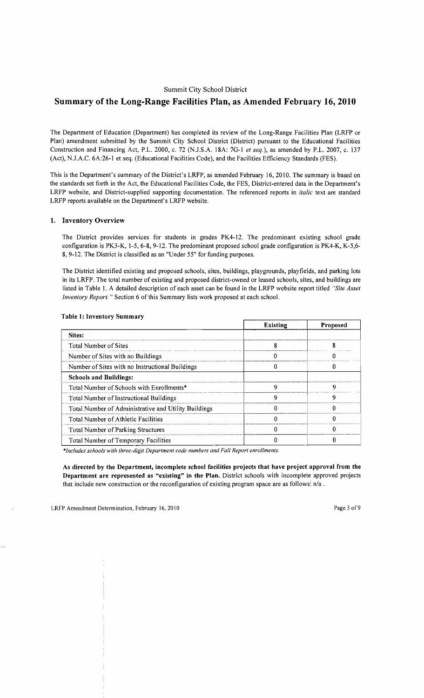# Summit City School District

# **Summary of the Long-Range Facilities Plan, as Amended February 16,2010**

The Department of Education (Department) has completed its review of the Long-Range Facilities Plan (LRFP or Plan) amendment submitted by the Summit City School District (District) pursuant to the Educational Facilities Construction and Financing Act, P.L. 2000, c. 72 (NJ.S.A. 18A: 70-1 *et seq.),* as amended by P.L. 2007, c. 137 (Act), NJ.A.C. 6A:26-1 et seq. (Educational Facilities Code), and the Facilities Efficiency Standards (FES).

This is the Department's summary of the District's LRFP, as amended February 16,2010. The summary is based on the standards set forth in the Act, the Educational Facilities Code, the FES, District-entered data in the Department's LRFP website, and District-supplied supporting documentation. The referenced reports in *italic* text are standard LRFP reports available on the Department's LRFP website.

# 1. Inventory Overview

The District provides services for students in grades PK4-12. The predominant existing school grade configuration is PK3-K, 1-5, 6-8, 9-12. The predominant proposed school grade configuration is PK4-K, K-5,6-8,9-12. The District is classified as an "Under 55" for funding purposes.

The District identified existing and proposed schools, sites, buildings, playgrounds, playfields, and parking lots in its LRFP. The total number of existing and proposed district-owned or leased schools, sites, and buildings are listed in Table I. A detailed description of each asset can be found in the LRFP website report titled *"Site Asset Inventory Report.* " Section 6 of this Summary lists work proposed at each school.

|                                                      | <b>Existing</b> | <b>Proposed</b> |
|------------------------------------------------------|-----------------|-----------------|
| Sites:                                               |                 |                 |
| <b>Total Number of Sites</b>                         |                 |                 |
| Number of Sites with no Buildings                    |                 |                 |
| Number of Sites with no Instructional Buildings      |                 |                 |
| <b>Schools and Buildings:</b>                        |                 |                 |
| Total Number of Schools with Enrollments*            | o               | n               |
| Total Number of Instructional Buildings              |                 | о               |
| Total Number of Administrative and Utility Buildings |                 |                 |
| <b>Total Number of Athletic Facilities</b>           |                 |                 |
| <b>Total Number of Parking Structures</b>            |                 |                 |
| Total Number of Temporary Facilities                 |                 |                 |

## Table 1: Inventory Summary

*\*Jncludes schools with three-digit Department code numbers and Fall Report enrollments.* 

As directed by the Department, incomplete school facilities projects that have project approval from the Department are represented as "existing" in the Plan. District schools with incomplete approved projects that include new construction or the reconfiguration of existing program space are as follows: *nla .*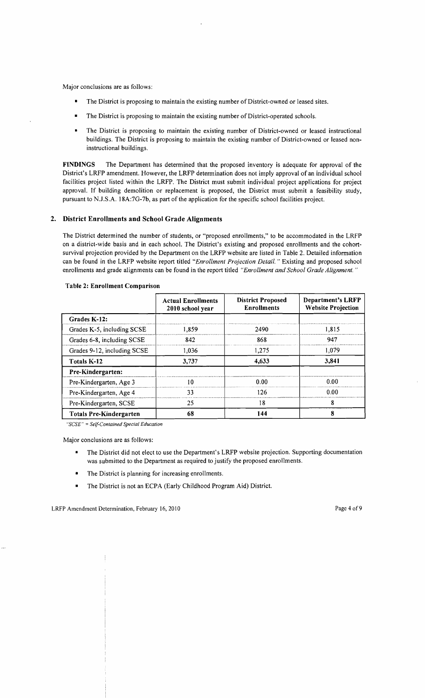Major conclusions are as follows:

- The District is proposing to maintain the existing number of District-owned or leased sites.
- The District is proposing to maintain the existing number of District-operated schools.
- The District is proposing to maintain the existing number of District-owned or leased instructional buildings. The District is proposing to maintain the existing number of District-owned or leased noninstructional buildings.

FINDINGS The Department has determined that the proposed inventory is adequate for approval of the District's LRFP amendment. However, the LRFP determination does not imply approval of an individual school facilities project listed within the LRFP. The District must submit individual project applications for project approval. If building demolition or replacement is proposed, the District must submit a feasibility study, pursuant to NJ.S.A. 18A:7G-7b, as part of the application for the specific school facilities project.

#### 2. District Enrollments and School Grade Alignments

The District determined the number of students, or "proposed enrollments," to be accommodated in the LRFP on a district-wide basis and in each school. The District's existing and proposed enrollments and the cohortsurvival projection provided by the Department on the LRFP website are listed in Table 2. Detailed information can be found in the LRFP website 'report titled *"Enrollment Projection Detail.* " Existing and proposed school enrollments and grade alignments can be found in the report titled *"Enrollment and School Grade Alignment. "* 

|                                | <b>Actual Enrollments</b><br>2010 school year | <b>District Proposed</b><br><b>Enrollments</b> | <b>Department's LRFP</b><br><b>Website Projection</b> |  |
|--------------------------------|-----------------------------------------------|------------------------------------------------|-------------------------------------------------------|--|
| Grades K-12:                   |                                               |                                                |                                                       |  |
| Grades K-5, including SCSE     | 1.859                                         | 2490                                           | 1.815                                                 |  |
| Grades 6-8, including SCSE     | 842                                           | 868                                            | 947                                                   |  |
| Grades 9-12, including SCSE    | 1.036                                         | 1,275                                          | 1.079                                                 |  |
| Totals K-12                    | 3,737                                         | 4.633                                          | 3,841                                                 |  |
| Pre-Kindergarten:              |                                               |                                                |                                                       |  |
| Pre-Kindergarten, Age 3        | 10                                            |                                                | 0.00                                                  |  |
| Pre-Kindergarten, Age 4        | 33                                            | 126                                            | 0.00                                                  |  |
| Pre-Kindergarten, SCSE         | 25                                            | 8<br>18                                        |                                                       |  |
| <b>Totals Pre-Kindergarten</b> | 68                                            | 144                                            | 8                                                     |  |

#### Table 2: Enrollment Comparison

*"SCSE"* = *Self-Contained Special Education* 

Major conclusions are as follows:

- The District did not elect to use the Department's LRFP website projection. Supporting documentation was submitted to the Department as required to justify the proposed enrollments.
- The District is planning for increasing enrollments.
- The District is not an ECPA (Early Childhood Program Aid) District.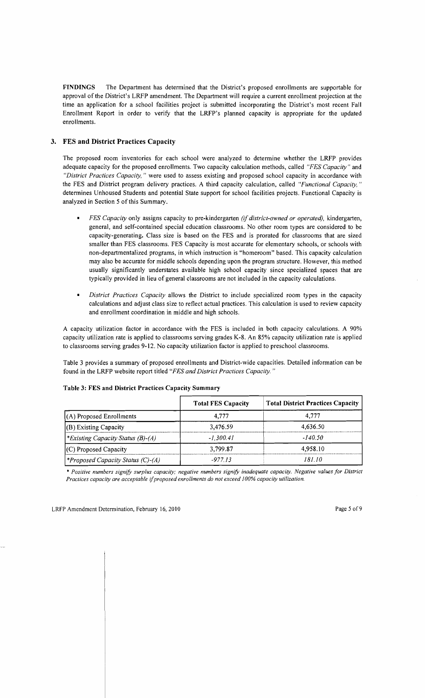FINDINGS The Department has determined that the District's proposed enrollments are supportable for approval of the District's LRFP amendment. The Department will require a current enrollment projection at the time an application for a school facilities project is submitted incorporating the District's most recent Fall Enrollment Report in order to verify that the LRFP's planned capacity is appropriate for the updated enrollments.

## 3. FES **and District** Practices Capacity

The proposed room inventories for each school were analyzed to determine whether the LRFP provides adequate capacity for the proposed enrollments. Two capacity calculation methods, called *"FES Capacity"* and *"District Practices Capacity,* " were used to assess existing and proposed school capacity in accordance with the FES and District program delivery practices. A third capacity calculation, called *"Functional Capacity, "*  determines Unhoused Students and potential State support for school facilities projects. Functional Capacity is analyzed in Section 5 of this Summary.

- *FES Capacity* only assigns capacity to pre-kindergarten *(if district-owned or operated),* kindergarten, general, and self-contained special education classrooms. No other room types are considered to be capacity-generating. Class size is based on the FES and is prorated for classrooms that are sized smaller than FES classrooms. FES Capacity is most accurate for elementary schools, or schools with non-departmentalized programs, in which instruction is "homeroom" based. This capacity calculation may also be accurate for middle schools depending upon the program structure. However, this method usually significantly understates available high school capacity since specialized spaces that are typically provided in lieu of general classrooms are not included in the capacity calculations.
- *District Practices Capacity* allows the District to include specialized room types in the capacity calculations and adjust class size to reflect actual practices. This calculation is used to review capacity and enrollment coordination in middle and high schools.

A capacity utilization factor in accordance with the FES is included in both capacity calculations. A 90% capacity utilization rate is applied to classrooms serving grades K-8. An 85% capacity utilization rate is applied to classrooms serving grades 9-12. No capacity utilization factor is applied to preschool classrooms.

Table 3 provides a summary of proposed enrollments and District-wide capacities. Detailed information can be found in the LRFP website report titled *"FES and District Practices Capacity. "* 

|                                          | <b>Total FES Capacity</b> | <b>Total District Practices Capacity</b> |
|------------------------------------------|---------------------------|------------------------------------------|
| $(A)$ Proposed Enrollments               | 4.777                     | 4.777                                    |
| $($ B $)$ Existing Capacity              | 3,476.59                  | 4.636.50                                 |
| <i>*Existing Capacity Status (B)-(A)</i> | $-1.300.41$               | $-140.50$                                |
| $(C)$ Proposed Capacity                  | 3,799.87                  | 4.958.10                                 |
| <i>*Proposed Capacity Status (C)-(A)</i> | -977 13                   | 181 10                                   |

#### Table 3: FES and District Practices Capacity Summary

\* *Positive numbers signifY surplus capacity; negative numbers signifY inadequate capacity. Negative values for District Practices capacity are acceptable ijproposed enrollments do not exceed 100% capacity utilization.*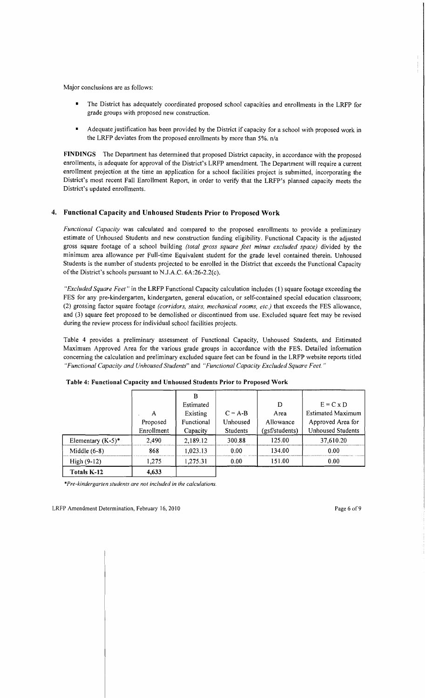Major conclusions are as folIows:

- The District has adequately coordinated proposed school capacities and enrollments in the LRFP for grade groups with proposed new construction.
- Adequate justification has been provided by the District if capacity for a school with proposed work in the LRFP deviates from the proposed enrolIments by more than 5%. *nla*

FINDINGS The Department has determined that proposed District capacity, in accordance with the proposed enrollments, is adequate for approval of the District's LRFP amendment. The Department will require a current enrollment projection at the time an application for a school facilities project is submitted, incorporating the District's most recent Fall Enrollment Report, in order to verify that the LRFP's planned capacity meets the District's updated enrollments.

## 4. Functional Capacity and Unhoused Students Prior to Proposed Work

*Functional Capacity* was calculated and compared to the proposed enrollments to provide a preliminary estimate of Unhoused Students and new construction funding eligibility. Functional Capacity is the adjusted gross square footage of a school building *(total gross square feet minus excluded space)* divided by the minimum area alIowance per Full-time Equivalent student for the grade level contained therein. Unhoused Students is the number of students projected to be enrolled in the District that exceeds the Functional Capacity of the District's schools pursuant to N.J.A.C.  $6A:26-2.2(c)$ .

*"Excluded Square Feet"* in the LRFP Functional Capacity calculation includes (1) square footage exceeding the FES for any pre-kindergarten, kindergarten, general education, or self-contained special education classroom; (2) grossing factor square footage *(corridors, stairs, mechanical rooms, etc.)* that exceeds the FES allowance, and (3) square feet proposed to be demolished or discontinued from use. Excluded square feet may be revised during the review process for individual school facilities projects.

Table 4 provides a preliminary assessment of Functional Capacity, Unhoused Students, and Estimated Maximum Approved Area for the various grade groups in accordance with the FES. Detailed information concerning the calculation and preliminary excluded square feet can be found in the LRFP website reports titled *"Functional Capacity and Unhoused Students"* and *"Functional Capacity Excluded Square Feet. "* 

|                      |            | B          |                 |                |                          |
|----------------------|------------|------------|-----------------|----------------|--------------------------|
|                      |            | Estimated  |                 | D              | $E = C \times D$         |
|                      | A          | Existing   | $C = A-B$       | Area           | <b>Estimated Maximum</b> |
|                      | Proposed   | Functional | Unhoused        | Allowance      | Approved Area for        |
|                      | Enrollment | Capacity   | <b>Students</b> | (gsf/students) | <b>Unhoused Students</b> |
| Elementary $(K-5)^*$ | 2.490      | 2,189.12   | 300.88          | 125.00         | 37,610.20                |
| Middle $(6-8)$       | 868        | 1,023.13   | 0.00            | 134.00         | 0.00                     |
| $High (9-12)$        | 1,275      | 1,275.31   | 0.00            | 151.00         | 0.00                     |
| Totals K-12          | 4,633      |            |                 |                |                          |

#### Table 4: Functional Capacity and Unhoused Students Prior to Proposed Work

*·Pre-kindergarten students are not included in the calculations.*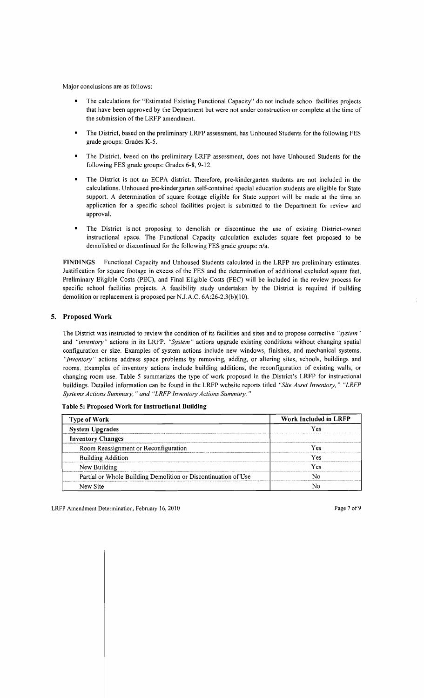Major conclusions are as follows:

- The calculations for "Estimated Existing Functional Capacity" do not include school facilities projects that have been approved by the Department but were not under construction or complete at the time of the submission of the LRFP amendment.
- The District, based on the preliminary LRFP assessment, has Unhoused Students for the following FES grade groups: Grades K-5.
- The District, based on the preliminary LRFP assessment, does not have Unhoused Students for the following FES grade groups: Grades 6-8, 9-12.
- The District is not an ECPA district. Therefore, pre-kindergarten students are not included in the calculations. Unhoused pre-kindergarten self-contained special education students are eligible for State support. A determination of square footage eligible for State support will be made at the time an application for a specific school facilities project is submitted to the Department for review and approval.
- The District is not proposing to demolish or discontinue the use of existing District-owned instructional space. The Functional Capacity calculation excludes square feet proposed to be demolished or discontinued for the following FES grade groups: *n/a.*

FINDINGS Functional Capacity and Unhoused Students calculated in the LRFP are preliminary estimates. Justification for square footage in excess of the FES and the determination of additional excluded square feet, Preliminary Eligible Costs (PEC), and Final Eligible Costs (FEC) will be included in the review process for specific school facilities projects. A feasibility study undertaken by the District is required if building demolition or replacement is proposed per NJ.A.C. 6A:26-2.3(b)(10).

## 5. Proposed Work

The District was instructed to review the condition of its facilities and sites and to propose corrective *"system"*  and *"inventory"* actions in its LRFP. *"System"* actions upgrade existing conditions without changing spatial configuration or size. Examples of system actions include new windows, finishes, and mechanical systems. *"Inventory"* actions address space problems by removing, adding, or altering sites, schools, buildings and rooms. Examples of inventory actions include building additions, the reconfiguration of existing walls, or changing room use. Table 5 summarizes the type of work proposed in the District's LRFP for instructional buildings. Detailed information can be found in the LRFP website reports titled *"Site Asset Inventory," "LRFP Systems Actions Summary," and "LRFP Inventory Actions Summary."* 

| <b>Type of Work</b>                                            | Work Included in LRFP |  |
|----------------------------------------------------------------|-----------------------|--|
| <b>System Upgrades</b>                                         | Yes                   |  |
| <b>Inventory Changes</b>                                       |                       |  |
| Room Reassignment or Reconfiguration                           | Yes                   |  |
| <b>Building Addition</b>                                       | Yes                   |  |
| New Building                                                   | Yes                   |  |
| Partial or Whole Building Demolition or Discontinuation of Use |                       |  |
| New Site                                                       |                       |  |

Table 5: Proposed Work for Instructional Building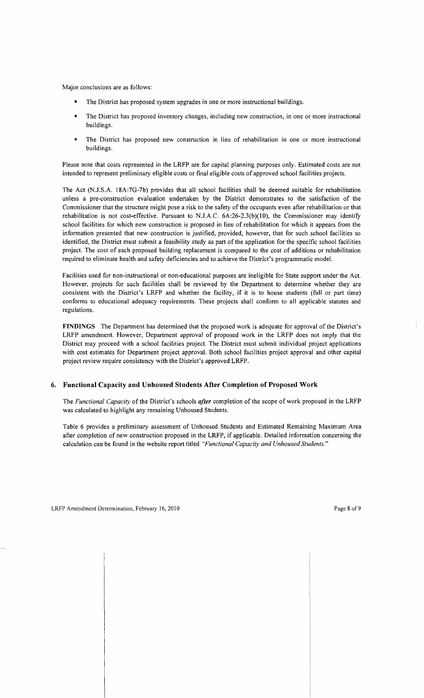Major conclusions are as follows:

- The District has proposed system upgrades in one or more instructional buildings.
- The District has proposed inventory changes, including new construction, in one or more instructional buildings.
- The District has proposed new construction in lieu of rehabilitation in one or more instructional buildings.

Please note that costs represented in the LRFP are for capital planning purposes only. Estimated costs are not intended to represent preliminary eligible costs or final eligible costs of approved school facilities projects.

The Act (N.l.S.A. l8A:7G-7b) provides that all school facilities shall be deemed suitable for rehabilitation unless a pre-construction evaluation undertaken by the District demonstrates to the satisfaction of the Commissioner that the structure might pose a risk to the safety of the occupants even after rehabilitation or that rehabilitation is not cost-effective. Pursuant to NJ.A.C. 6A:26-2.3(b)(10), the Commissioner may identify school facilities for which new construction is proposed in lieu of rehabilitation for which it appears from the information presented that new construction is justified, provided, however, that for such school facilities so identified, the District must submit a feasibility study as part of the application for the specific school facilities project. The cost of each proposed building replacement is compared to the cost of additions or rehabilitation required to eliminate health and safety deficiencies and to achieve the District's programmatic model.

Facilities used for non-instructional or non-educational purposes are ineligible for State support under'the Act. However, projects for such facilities shall be reviewed by the Department to determine whether they are consistent with the District's LRFP and whether the facility, if it is to house students (full or part time) conforms to educational adequacy requirements. These projects shall conform to all applicable statutes and regulations.

FINDINGS The Department has determined that the proposed work is adequate for approval of the District's LRFP amendment. However, Department approval of proposed work in the LRFP does not imply that the District may proceed with a school facilities project. The District must submit individual project applications with cost estimates for Department project approval. Both school facilities project approval and other capital project review require consistency with the District's approved LRFP.

## 6. Functional Capacity and Unhoused Students After Completion of Proposed Work

The *Functional Capacity* of the District's schools *after* completion of the scope of work proposed in the LRFP was calculated to highlight any remaining Unhoused Students.

Table 6 provides a preliminary assessment of Unhoused Students and Estimated Remaining Maximum Area after completion of new construction proposed in the LRFP, if applicable. Detailed information concerning the calculation can be found in the website report titled *"Functional Capacity and Unhoused Students."*